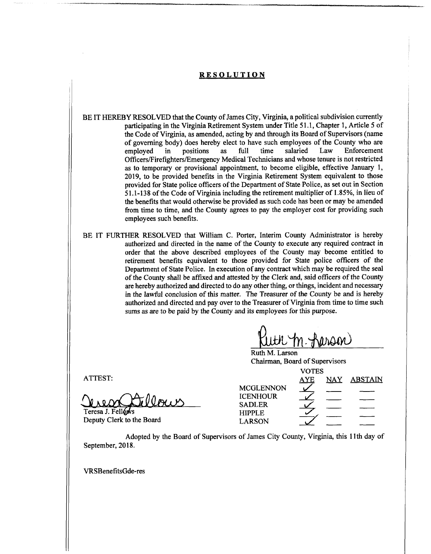## **RESOLUTION**

- BE IT HEREBY RESOLVED that the County of James City, Virginia, a political subdivision currently participating in the Virginia Retirement System under Title 51.1, Chapter 1, Article 5 of the Code of Virginia, as amended, acting by and through its Board of Supervisors (name of governing body) does hereby elect to have such employees of the County who are employed in positions as full time salaried Law Enforcement employed in positions as Officers/Firefighters/Emergency Medical Technicians and whose tenure is not restricted as to temporary or provisional appointment, to become eligible, effective January 1, 2019, to be provided benefits in the Virginia Retirement System equivalent to those provided for State police officers of the Department of State Police, as set out in Section 51.1-138 of the Code of Virginia including the retirement multiplier of 1.85%, in lieu of the benefits that would otherwise be provided as such code has been or may be amended from time to time, and the County agrees to pay the employer cost for providing such employees such benefits. full time salaried Law Enforcement
- BE IT FURTHER RESOLVED that William C. Porter, Interim County Administrator is hereby authorized and directed in the name of the County to execute any required contract in order that the above described employees of the County may become entitled to retirement benefits equivalent to those provided for State police officers of the Department of State Police. In execution of any contract which may be required the seal of the County shall be affixed and attested by the Clerk and, said officers of the County are hereby authorized and directed to do any other thing, or things, incident and necessary in the lawful conclusion of this matter. The Treasurer of the County be and is hereby authorized and directed and pay over to the Treasurer of Virginia from time to time such sums as are to be paid by the County and its employees for this purpose.

Ruth M. Larson Chairman, Board of Supervisors

|                           | <b>VOTES</b>                        |            |     |                |
|---------------------------|-------------------------------------|------------|-----|----------------|
| ATTEST:                   |                                     | <u>AYE</u> | NAY | <b>ABSTAIN</b> |
|                           | <b>MCGLENNON</b><br><b>ICENHOUR</b> |            |     |                |
|                           | <b>SADLER</b>                       |            |     |                |
| Teresa J. Fellows         | <b>HIPPLE</b>                       |            |     |                |
| Deputy Clerk to the Board | <b>LARSON</b>                       |            |     |                |
|                           |                                     |            |     |                |

Adopted by the Board of Supervisors of James City County, Virginia, this 11th day of September, 2018.

VRSBenefitsGde-res